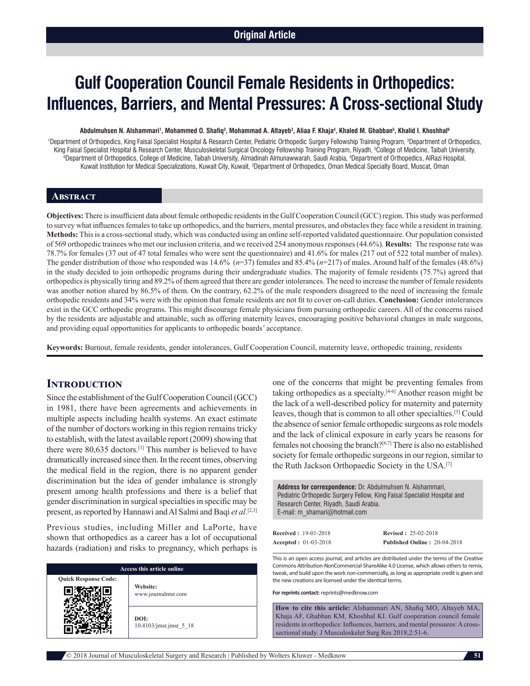# **Gulf Cooperation Council Female Residents in Orthopedics: Influences, Barriers, and Mental Pressures: A Cross‑sectional Study**

#### Abdulmuhsen N. Alshammari<sup>1</sup>, Mohammed O. Shafiq<sup>2</sup>, Mohammad A. Altayeb<sup>3</sup>, Aliaa F. Khaja<sup>4</sup>, Khaled M. Ghabban<sup>5</sup>, Khalid I. Khoshhal<sup>6</sup>

<sup>1</sup>Department of Orthopedics, King Faisal Specialist Hospital & Research Center, Pediatric Orthopedic Surgery Fellowship Training Program, <sup>3</sup>Department of Orthopedics, King Faisal Specialist Hospital & Research Center, Musculoskeletal Surgical Oncology Fellowship Training Program, Riyadh, <sup>5</sup>College of Medicine, Taibah University,<br>Oppositment of Orthonedics, College of Medicine, Taibah U Department of Orthopedics, College of Medicine, Taibah University, Almadinah Almunawwarah, Saudi Arabia, 4 Department of Orthopedics, AlRazi Hospital, Kuwait Institution for Medical Specializations, Kuwait City, Kuwait, <sup>2</sup>Department of Orthopedics, Oman Medical Specialty Board, Muscat, Oman

#### **Abstract**

**Objectives:** There is insufficient data about female orthopedic residents in the Gulf Cooperation Council(GCC) region. This study was performed to survey what influences females to take up orthopedics, and the barriers, mental pressures, and obstacles they face while a resident in training. **Methods:** This is a cross-sectional study, which was conducted using an online self-reported validated questionnaire. Our population consisted of 569 orthopedic trainees who met our inclusion criteria, and we received 254 anonymous responses(44.6%). **Results:** The response rate was 78.7% for females (37 out of 47 total females who were sent the questionnaire) and 41.6% for males (217 out of 522 total number of males). The gender distribution of those who responded was 14.6% (*n*=37) females and 85.4% (*n*=217) of males. Around half of the females (48.6%) in the study decided to join orthopedic programs during their undergraduate studies. The majority of female residents (75.7%) agreed that orthopedics is physically tiring and 89.2% of them agreed that there are gender intolerances. The need to increase the number of female residents was another notion shared by 86.5% of them. On the contrary, 62.2% of the male responders disagreed to the need of increasing the female orthopedic residents and 34% were with the opinion that female residents are not fit to cover on‑call duties. **Conclusion:** Gender intolerances exist in the GCC orthopedic programs. This might discourage female physicians from pursuing orthopedic careers. All of the concerns raised by the residents are adjustable and attainable, such as offering maternity leaves, encouraging positive behavioral changes in male surgeons, and providing equal opportunities for applicants to orthopedic boards' acceptance.

**Keywords:** Burnout, female residents, gender intolerances, Gulf Cooperation Council, maternity leave, orthopedic training, residents

### **Introduction**

Since the establishment of the Gulf Cooperation Council(GCC) in 1981, there have been agreements and achievements in multiple aspects including health systems. An exact estimate of the number of doctors working in this region remains tricky to establish, with the latest available report (2009) showing that there were 80,635 doctors.[1] This number is believed to have dramatically increased since then. In the recent times, observing the medical field in the region, there is no apparent gender discrimination but the idea of gender imbalance is strongly present among health professions and there is a belief that gender discrimination in surgical specialties in specific may be present, as reported by Hannawi and Al Salmi and Baqi *et al*. [2,3]

Previous studies, including Miller and LaPorte, have shown that orthopedics as a career has a lot of occupational hazards (radiation) and risks to pregnancy, which perhaps is

| Access this article online  |                                   |  |
|-----------------------------|-----------------------------------|--|
| <b>Quick Response Code:</b> | Website:<br>www.journalmsr.com    |  |
|                             | DOI:<br>$10.4103/$ jmsr.jmsr 5 18 |  |

one of the concerns that might be preventing females from taking orthopedics as a specialty.[4-6] Another reason might be the lack of a well-described policy for maternity and paternity leaves, though that is common to all other specialties.[5] Could the absence of senior female orthopedic surgeons as role models and the lack of clinical exposure in early years be reasons for females not choosing the branch?[6,7] There is also no established society for female orthopedic surgeons in our region, similar to the Ruth Jackson Orthopaedic Society in the USA.[7]

**Address for correspondence:** Dr. Abdulmuhsen N. Alshammari, Pediatric Orthopedic Surgery Fellow, King Faisal Specialist Hospital and Research Center, Riyadh, Saudi Arabia. E‑mail: m\_shamari@hotmail.com

| <b>Received: 19-01-2018</b> | <b>Revised: 25-02-2018</b>          |
|-----------------------------|-------------------------------------|
| <b>Accepted: 01-03-2018</b> | <b>Published Online: 20-04-2018</b> |

This is an open access journal, and articles are distributed under the terms of the Creative Commons Attribution-NonCommercial-ShareAlike 4.0 License, which allows others to remix, tweak, and build upon the work non-commercially, as long as appropriate credit is given and the new creations are licensed under the identical terms.

**For reprints contact:** reprints@medknow.com

**How to cite this article:** Alshammari AN, Shafiq MO, Altayeb MA, Khaja AF, Ghabban KM, Khoshhal KI. Gulf cooperation council female residents in orthopedics: Influences, barriers, and mental pressures: A crosssectional study. J Musculoskelet Surg Res 2018;2:51-6.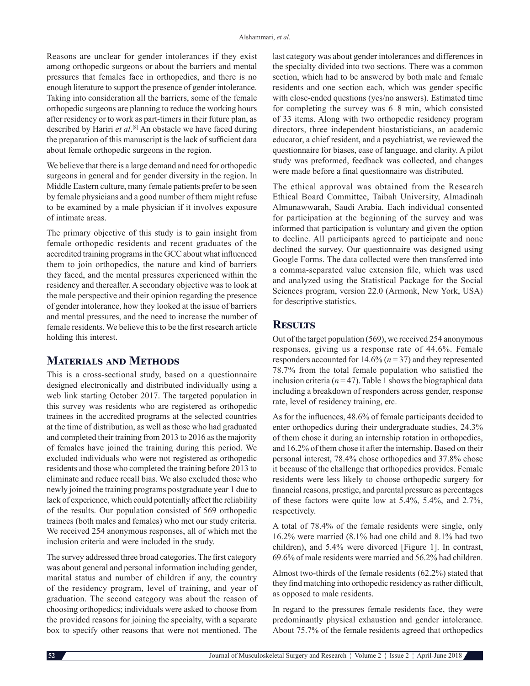Reasons are unclear for gender intolerances if they exist among orthopedic surgeons or about the barriers and mental pressures that females face in orthopedics, and there is no enough literature to support the presence of gender intolerance. Taking into consideration all the barriers, some of the female orthopedic surgeons are planning to reduce the working hours after residency or to work as part-timers in their future plan, as described by Hariri *et al*. [8] An obstacle we have faced during the preparation of this manuscript is the lack of sufficient data about female orthopedic surgeons in the region.

We believe that there is a large demand and need for orthopedic surgeons in general and for gender diversity in the region. In Middle Eastern culture, many female patients prefer to be seen by female physicians and a good number of them might refuse to be examined by a male physician if it involves exposure of intimate areas.

The primary objective of this study is to gain insight from female orthopedic residents and recent graduates of the accredited training programs in the GCC about what influenced them to join orthopedics, the nature and kind of barriers they faced, and the mental pressures experienced within the residency and thereafter. A secondary objective was to look at the male perspective and their opinion regarding the presence of gender intolerance, how they looked at the issue of barriers and mental pressures, and the need to increase the number of female residents. We believe this to be the first research article holding this interest.

## **Materials and Methods**

This is a cross‑sectional study, based on a questionnaire designed electronically and distributed individually using a web link starting October 2017. The targeted population in this survey was residents who are registered as orthopedic trainees in the accredited programs at the selected countries at the time of distribution, as well as those who had graduated and completed their training from 2013 to 2016 as the majority of females have joined the training during this period. We excluded individuals who were not registered as orthopedic residents and those who completed the training before 2013 to eliminate and reduce recall bias. We also excluded those who newly joined the training programs postgraduate year 1 due to lack of experience, which could potentially affect the reliability of the results. Our population consisted of 569 orthopedic trainees (both males and females) who met our study criteria. We received 254 anonymous responses, all of which met the inclusion criteria and were included in the study.

The survey addressed three broad categories. The first category was about general and personal information including gender, marital status and number of children if any, the country of the residency program, level of training, and year of graduation. The second category was about the reason of choosing orthopedics; individuals were asked to choose from the provided reasons for joining the specialty, with a separate box to specify other reasons that were not mentioned. The

last category was about gender intolerances and differences in the specialty divided into two sections. There was a common section, which had to be answered by both male and female residents and one section each, which was gender specific with close-ended questions (yes/no answers). Estimated time for completing the survey was 6–8 min, which consisted of 33 items. Along with two orthopedic residency program directors, three independent biostatisticians, an academic educator, a chief resident, and a psychiatrist, we reviewed the questionnaire for biases, ease of language, and clarity. A pilot study was preformed, feedback was collected, and changes were made before a final questionnaire was distributed.

The ethical approval was obtained from the Research Ethical Board Committee, Taibah University, Almadinah Almunawwarah, Saudi Arabia. Each individual consented for participation at the beginning of the survey and was informed that participation is voluntary and given the option to decline. All participants agreed to participate and none declined the survey. Our questionnaire was designed using Google Forms. The data collected were then transferred into a comma‑separated value extension file, which was used and analyzed using the Statistical Package for the Social Sciences program, version 22.0 (Armonk, New York, USA) for descriptive statistics.

## **Results**

Out of the target population (569), we received 254 anonymous responses, giving us a response rate of 44.6%. Female responders accounted for 14.6% (*n* = 37) and they represented 78.7% from the total female population who satisfied the inclusion criteria ( $n = 47$ ). Table 1 shows the biographical data including a breakdown of responders across gender, response rate, level of residency training, etc.

As for the influences, 48.6% of female participants decided to enter orthopedics during their undergraduate studies, 24.3% of them chose it during an internship rotation in orthopedics, and 16.2% of them chose it after the internship. Based on their personal interest, 78.4% chose orthopedics and 37.8% chose it because of the challenge that orthopedics provides. Female residents were less likely to choose orthopedic surgery for financial reasons, prestige, and parental pressure as percentages of these factors were quite low at 5.4%, 5.4%, and 2.7%, respectively.

A total of 78.4% of the female residents were single, only 16.2% were married (8.1% had one child and 8.1% had two children), and 5.4% were divorced [Figure 1]. In contrast, 69.6% of male residents were married and 56.2% had children.

Almost two-thirds of the female residents  $(62.2\%)$  stated that they find matching into orthopedic residency as rather difficult, as opposed to male residents.

In regard to the pressures female residents face, they were predominantly physical exhaustion and gender intolerance. About 75.7% of the female residents agreed that orthopedics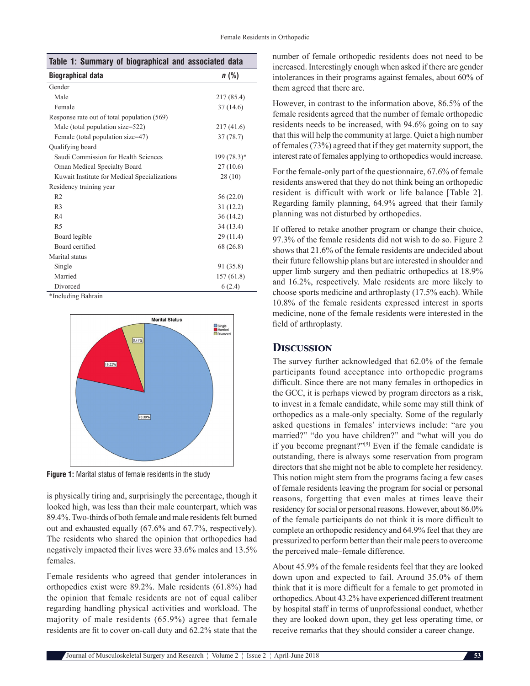| Table 1: Summary of biographical and associated data |              |  |  |  |
|------------------------------------------------------|--------------|--|--|--|
| Biographical data                                    | n(%)         |  |  |  |
| Gender                                               |              |  |  |  |
| Male                                                 | 217 (85.4)   |  |  |  |
| Female                                               | 37(14.6)     |  |  |  |
| Response rate out of total population (569)          |              |  |  |  |
| Male (total population size=522)                     | 217(41.6)    |  |  |  |
| Female (total population size=47)                    | 37(78.7)     |  |  |  |
| Qualifying board                                     |              |  |  |  |
| Saudi Commission for Health Sciences                 | $199(78.3)*$ |  |  |  |
| Oman Medical Specialty Board                         | 27(10.6)     |  |  |  |
| Kuwait Institute for Medical Specializations         | 28(10)       |  |  |  |
| Residency training year                              |              |  |  |  |
| R <sub>2</sub>                                       | 56(22.0)     |  |  |  |
| R <sub>3</sub>                                       | 31(12.2)     |  |  |  |
| R <sub>4</sub>                                       | 36(14.2)     |  |  |  |
| R <sub>5</sub>                                       | 34 (13.4)    |  |  |  |
| Board legible                                        | 29(11.4)     |  |  |  |
| Board certified                                      | 68 (26.8)    |  |  |  |
| Marital status                                       |              |  |  |  |
| Single                                               | 91 (35.8)    |  |  |  |
| Married                                              | 157(61.8)    |  |  |  |
| Divorced                                             | 6(2.4)       |  |  |  |
| *Including Bahrain                                   |              |  |  |  |



**Figure 1:** Marital status of female residents in the study

is physically tiring and, surprisingly the percentage, though it looked high, was less than their male counterpart, which was 89.4%. Two-thirds of both female and male residents felt burned out and exhausted equally (67.6% and 67.7%, respectively). The residents who shared the opinion that orthopedics had negatively impacted their lives were 33.6% males and 13.5% females.

Female residents who agreed that gender intolerances in orthopedics exist were 89.2%. Male residents (61.8%) had the opinion that female residents are not of equal caliber regarding handling physical activities and workload. The majority of male residents (65.9%) agree that female residents are fit to cover on-call duty and 62.2% state that the

number of female orthopedic residents does not need to be increased. Interestingly enough when asked if there are gender intolerances in their programs against females, about 60% of them agreed that there are.

However, in contrast to the information above, 86.5% of the female residents agreed that the number of female orthopedic residents needs to be increased, with 94.6% going on to say that this will help the community at large. Quiet a high number of females(73%) agreed that if they get maternity support, the interest rate of females applying to orthopedics would increase.

For the female-only part of the questionnaire, 67.6% of female residents answered that they do not think being an orthopedic resident is difficult with work or life balance [Table 2]. Regarding family planning, 64.9% agreed that their family planning was not disturbed by orthopedics.

If offered to retake another program or change their choice, 97.3% of the female residents did not wish to do so. Figure 2 shows that 21.6% of the female residents are undecided about their future fellowship plans but are interested in shoulder and upper limb surgery and then pediatric orthopedics at 18.9% and 16.2%, respectively. Male residents are more likely to choose sports medicine and arthroplasty (17.5% each). While 10.8% of the female residents expressed interest in sports medicine, none of the female residents were interested in the field of arthroplasty.

## **Discussion**

The survey further acknowledged that 62.0% of the female participants found acceptance into orthopedic programs difficult. Since there are not many females in orthopedics in the GCC, it is perhaps viewed by program directors as a risk, to invest in a female candidate, while some may still think of orthopedics as a male-only specialty. Some of the regularly asked questions in females' interviews include: "are you married?" "do you have children?" and "what will you do if you become pregnant?"[9] Even if the female candidate is outstanding, there is always some reservation from program directors that she might not be able to complete her residency. This notion might stem from the programs facing a few cases of female residents leaving the program for social or personal reasons, forgetting that even males at times leave their residency for social or personal reasons. However, about 86.0% of the female participants do not think it is more difficult to complete an orthopedic residency and 64.9% feel that they are pressurized to perform better than their male peers to overcome the perceived male–female difference.

About 45.9% of the female residents feel that they are looked down upon and expected to fail. Around 35.0% of them think that it is more difficult for a female to get promoted in orthopedics. About 43.2% have experienced different treatment by hospital staff in terms of unprofessional conduct, whether they are looked down upon, they get less operating time, or receive remarks that they should consider a career change.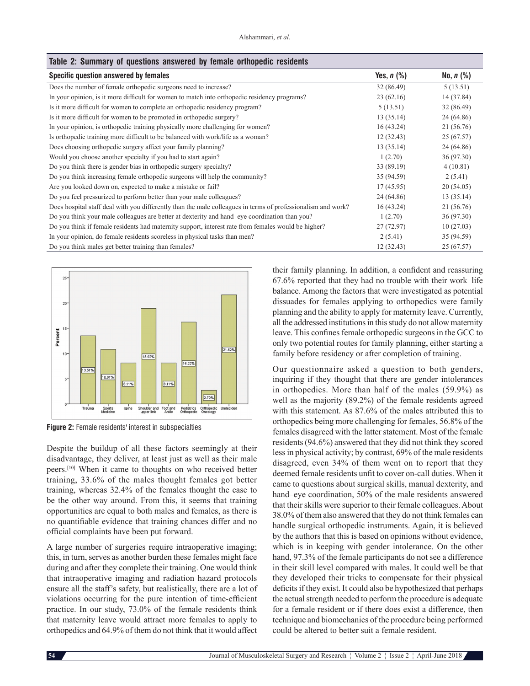| Table 2: Summary of questions answered by female orthopedic residents                                        |              |             |  |  |
|--------------------------------------------------------------------------------------------------------------|--------------|-------------|--|--|
| Specific question answered by females                                                                        | Yes, $n$ $%$ | No, $n$ (%) |  |  |
| Does the number of female orthopedic surgeons need to increase?                                              | 32(86.49)    | 5(13.51)    |  |  |
| In your opinion, is it more difficult for women to match into orthopedic residency programs?                 | 23(62.16)    | 14 (37.84)  |  |  |
| Is it more difficult for women to complete an orthopedic residency program?                                  | 5(13.51)     | 32(86.49)   |  |  |
| Is it more difficult for women to be promoted in orthopedic surgery?                                         | 13(35.14)    | 24 (64.86)  |  |  |
| In your opinion, is orthopedic training physically more challenging for women?                               | 16(43.24)    | 21 (56.76)  |  |  |
| Is orthopedic training more difficult to be balanced with work/life as a woman?                              | 12(32.43)    | 25(67.57)   |  |  |
| Does choosing orthopedic surgery affect your family planning?                                                | 13(35.14)    | 24 (64.86)  |  |  |
| Would you choose another specialty if you had to start again?                                                | 1(2.70)      | 36(97.30)   |  |  |
| Do you think there is gender bias in orthopedic surgery specialty?                                           | 33 (89.19)   | 4(10.81)    |  |  |
| Do you think increasing female orthopedic surgeons will help the community?                                  | 35 (94.59)   | 2(5.41)     |  |  |
| Are you looked down on, expected to make a mistake or fail?                                                  | 17(45.95)    | 20(54.05)   |  |  |
| Do you feel pressurized to perform better than your male colleagues?                                         | 24 (64.86)   | 13(35.14)   |  |  |
| Does hospital staff deal with you differently than the male colleagues in terms of professionalism and work? | 16(43.24)    | 21 (56.76)  |  |  |
| Do you think your male colleagues are better at dexterity and hand-eye coordination than you?                | 1(2.70)      | 36 (97.30)  |  |  |
| Do you think if female residents had maternity support, interest rate from females would be higher?          | 27(72.97)    | 10(27.03)   |  |  |
| In your opinion, do female residents scoreless in physical tasks than men?                                   | 2(5.41)      | 35 (94.59)  |  |  |
| Do you think males get better training than females?                                                         | 12(32.43)    | 25(67.57)   |  |  |
|                                                                                                              |              |             |  |  |



**Figure 2:** Female residents' interest in subspecialties

Despite the buildup of all these factors seemingly at their disadvantage, they deliver, at least just as well as their male peers.[10] When it came to thoughts on who received better training, 33.6% of the males thought females got better training, whereas 32.4% of the females thought the case to be the other way around. From this, it seems that training opportunities are equal to both males and females, as there is no quantifiable evidence that training chances differ and no official complaints have been put forward.

A large number of surgeries require intraoperative imaging; this, in turn, serves as another burden these females might face during and after they complete their training. One would think that intraoperative imaging and radiation hazard protocols ensure all the staff's safety, but realistically, there are a lot of violations occurring for the pure intention of time‑efficient practice. In our study, 73.0% of the female residents think that maternity leave would attract more females to apply to orthopedics and 64.9% of them do not think that it would affect

their family planning. In addition, a confident and reassuring 67.6% reported that they had no trouble with their work–life balance. Among the factors that were investigated as potential dissuades for females applying to orthopedics were family planning and the ability to apply for maternity leave. Currently, all the addressed institutions in this study do not allow maternity leave. This confines female orthopedic surgeons in the GCC to only two potential routes for family planning, either starting a family before residency or after completion of training.

Our questionnaire asked a question to both genders, inquiring if they thought that there are gender intolerances in orthopedics. More than half of the males (59.9%) as well as the majority (89.2%) of the female residents agreed with this statement. As 87.6% of the males attributed this to orthopedics being more challenging for females, 56.8% of the females disagreed with the latter statement. Most of the female residents(94.6%) answered that they did not think they scored less in physical activity; by contrast, 69% of the male residents disagreed, even 34% of them went on to report that they deemed female residents unfit to cover on‑call duties. When it came to questions about surgical skills, manual dexterity, and hand–eye coordination, 50% of the male residents answered that their skills were superior to their female colleagues. About 38.0% of them also answered that they do not think females can handle surgical orthopedic instruments. Again, it is believed by the authors that this is based on opinions without evidence, which is in keeping with gender intolerance. On the other hand, 97.3% of the female participants do not see a difference in their skill level compared with males. It could well be that they developed their tricks to compensate for their physical deficits if they exist. It could also be hypothesized that perhaps the actual strength needed to perform the procedure is adequate for a female resident or if there does exist a difference, then technique and biomechanics of the procedure being performed could be altered to better suit a female resident.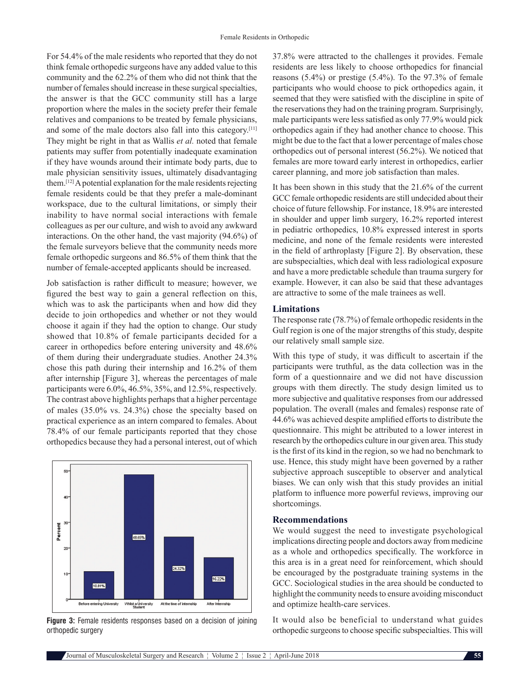For 54.4% of the male residents who reported that they do not think female orthopedic surgeons have any added value to this community and the 62.2% of them who did not think that the number of females should increase in these surgical specialties, the answer is that the GCC community still has a large proportion where the males in the society prefer their female relatives and companions to be treated by female physicians, and some of the male doctors also fall into this category.<sup>[11]</sup> They might be right in that as Wallis *et al.* noted that female patients may suffer from potentially inadequate examination if they have wounds around their intimate body parts, due to male physician sensitivity issues, ultimately disadvantaging them.[12] A potential explanation for the male residents rejecting female residents could be that they prefer a male-dominant workspace, due to the cultural limitations, or simply their inability to have normal social interactions with female colleagues as per our culture, and wish to avoid any awkward interactions. On the other hand, the vast majority (94.6%) of the female surveyors believe that the community needs more female orthopedic surgeons and 86.5% of them think that the number of female-accepted applicants should be increased.

Job satisfaction is rather difficult to measure; however, we figured the best way to gain a general reflection on this, which was to ask the participants when and how did they decide to join orthopedics and whether or not they would choose it again if they had the option to change. Our study showed that 10.8% of female participants decided for a career in orthopedics before entering university and 48.6% of them during their undergraduate studies. Another 24.3% chose this path during their internship and 16.2% of them after internship [Figure 3], whereas the percentages of male participants were 6.0%, 46.5%, 35%, and 12.5%, respectively. The contrast above highlights perhaps that a higher percentage of males (35.0% vs. 24.3%) chose the specialty based on practical experience as an intern compared to females. About 78.4% of our female participants reported that they chose orthopedics because they had a personal interest, out of which



**Figure 3:** Female residents responses based on a decision of joining orthopedic surgery

37.8% were attracted to the challenges it provides. Female residents are less likely to choose orthopedics for financial reasons (5.4%) or prestige (5.4%). To the 97.3% of female participants who would choose to pick orthopedics again, it seemed that they were satisfied with the discipline in spite of the reservations they had on the training program. Surprisingly, male participants were less satisfied as only 77.9% would pick orthopedics again if they had another chance to choose. This might be due to the fact that a lower percentage of males chose orthopedics out of personal interest (56.2%). We noticed that females are more toward early interest in orthopedics, earlier career planning, and more job satisfaction than males.

It has been shown in this study that the 21.6% of the current GCC female orthopedic residents are still undecided about their choice of future fellowship. For instance, 18.9% are interested in shoulder and upper limb surgery, 16.2% reported interest in pediatric orthopedics, 10.8% expressed interest in sports medicine, and none of the female residents were interested in the field of arthroplasty [Figure 2]. By observation, these are subspecialties, which deal with less radiological exposure and have a more predictable schedule than trauma surgery for example. However, it can also be said that these advantages are attractive to some of the male trainees as well.

#### **Limitations**

The response rate (78.7%) of female orthopedic residents in the Gulf region is one of the major strengths of this study, despite our relatively small sample size.

With this type of study, it was difficult to ascertain if the participants were truthful, as the data collection was in the form of a questionnaire and we did not have discussion groups with them directly. The study design limited us to more subjective and qualitative responses from our addressed population. The overall (males and females) response rate of 44.6% was achieved despite amplified efforts to distribute the questionnaire. This might be attributed to a lower interest in research by the orthopedics culture in our given area. This study is the first of its kind in the region, so we had no benchmark to use. Hence, this study might have been governed by a rather subjective approach susceptible to observer and analytical biases. We can only wish that this study provides an initial platform to influence more powerful reviews, improving our shortcomings.

#### **Recommendations**

We would suggest the need to investigate psychological implications directing people and doctors away from medicine as a whole and orthopedics specifically. The workforce in this area is in a great need for reinforcement, which should be encouraged by the postgraduate training systems in the GCC. Sociological studies in the area should be conducted to highlight the community needs to ensure avoiding misconduct and optimize health-care services.

It would also be beneficial to understand what guides orthopedic surgeons to choose specific subspecialties. This will